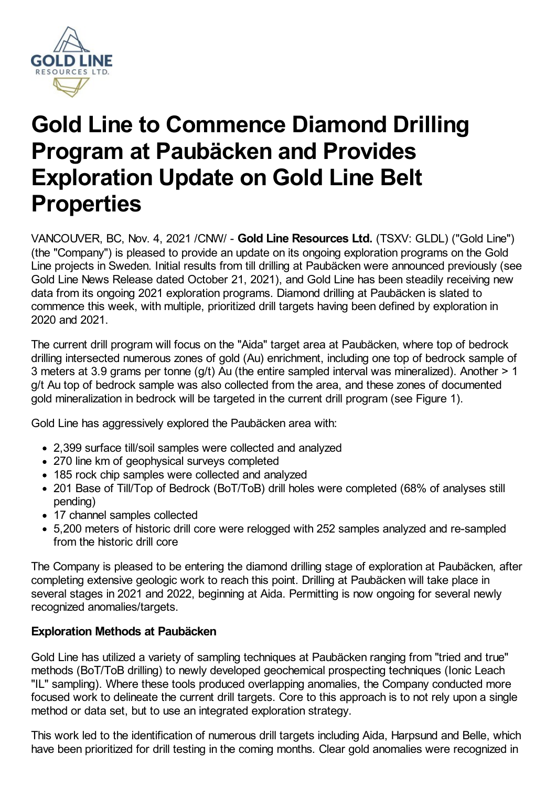

# **Gold Line to Commence Diamond Drilling Program at Paubäcken and Provides Exploration Update on Gold Line Belt Properties**

VANCOUVER, BC, Nov. 4, 2021 /CNW/ - **Gold Line Resources Ltd.** (TSXV: GLDL) ("Gold Line") (the "Company") is pleased to provide an update on its ongoing exploration programs on the Gold Line projects in Sweden. Initial results from till drilling at Paubäcken were announced previously (see Gold Line News Release dated October 21, 2021), and Gold Line has been steadily receiving new data from its ongoing 2021 exploration programs. Diamond drilling at Paubäcken is slated to commence this week, with multiple, prioritized drill targets having been defined by exploration in 2020 and 2021.

The current drill program will focus on the "Aida" target area at Paubäcken, where top of bedrock drilling intersected numerous zones of gold (Au) enrichment, including one top of bedrock sample of 3 meters at 3.9 grams per tonne (g/t) Au (the entire sampled interval was mineralized). Another > 1 g/t Au top of bedrock sample was also collected from the area, and these zones of documented gold mineralization in bedrock will be targeted in the current drill program (see Figure 1).

Gold Line has aggressively explored the Paubäcken area with:

- 2,399 surface till/soil samples were collected and analyzed
- 270 line km of geophysical surveys completed
- 185 rock chip samples were collected and analyzed
- 201 Base of Till/Top of Bedrock (BoT/ToB) drill holes were completed (68% of analyses still pending)
- 17 channel samples collected
- 5,200 meters of historic drill core were relogged with 252 samples analyzed and re-sampled from the historic drill core

The Company is pleased to be entering the diamond drilling stage of exploration at Paubäcken, after completing extensive geologic work to reach this point. Drilling at Paubäcken will take place in several stages in 2021 and 2022, beginning at Aida. Permitting is now ongoing for several newly recognized anomalies/targets.

# **Exploration Methods at Paubäcken**

Gold Line has utilized a variety of sampling techniques at Paubäcken ranging from "tried and true" methods (BoT/ToB drilling) to newly developed geochemical prospecting techniques (Ionic Leach "IL" sampling). Where these tools produced overlapping anomalies, the Company conducted more focused work to delineate the current drill targets. Core to this approach is to not rely upon a single method or data set, but to use an integrated exploration strategy.

This work led to the identification of numerous drill targets including Aida, Harpsund and Belle, which have been prioritized for drill testing in the coming months. Clear gold anomalies were recognized in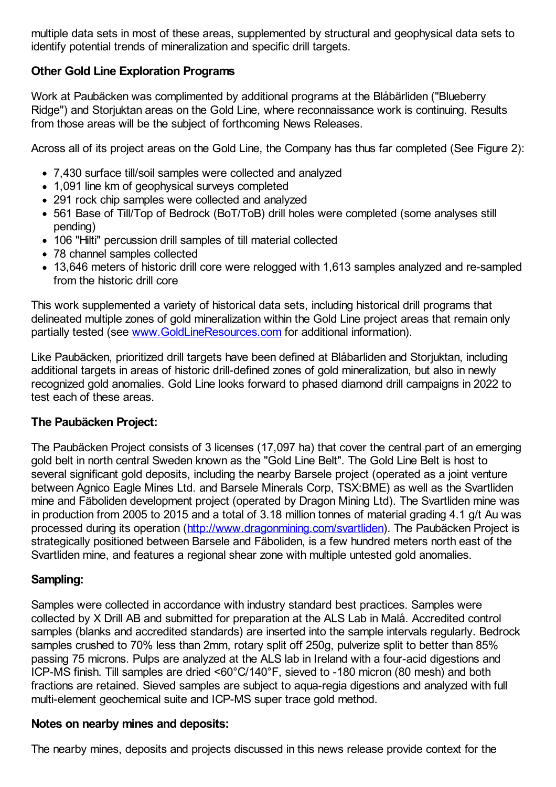multiple data sets in most of these areas, supplemented by structural and geophysical data sets to identify potential trends of mineralization and specific drill targets.

# **Other Gold Line Exploration Programs**

Work at Paubäcken was complimented by additional programs at the Blåbärliden ("Blueberry Ridge") and Storjuktan areas on the Gold Line, where reconnaissance work is continuing. Results from those areas will be the subject of forthcoming News Releases.

Across all of its project areas on the Gold Line, the Company has thus far completed (See Figure 2):

- 7,430 surface till/soil samples were collected and analyzed
- 1,091 line km of geophysical surveys completed
- 291 rock chip samples were collected and analyzed
- 561 Base of Till/Top of Bedrock (BoT/ToB) drill holes were completed (some analyses still pending)
- 106 "Hilti" percussion drill samples of till material collected
- 78 channel samples collected
- 13,646 meters of historic drill core were relogged with 1,613 samples analyzed and re-sampled from the historic drill core

This work supplemented a variety of historical data sets, including historical drill programs that delineated multiple zones of gold mineralization within the Gold Line project areas that remain only partially tested (see [www.GoldLineResources.com](http://www.goldlineresources.com/) for additional information).

Like Paubäcken, prioritized drill targets have been defined at Blåbarliden and Storjuktan, including additional targets in areas of historic drill-defined zones of gold mineralization, but also in newly recognized gold anomalies. Gold Line looks forward to phased diamond drill campaigns in 2022 to test each of these areas.

# **The Paubäcken Project:**

The Paubäcken Project consists of 3 licenses (17,097 ha) that cover the central part of an emerging gold belt in north central Sweden known as the "Gold Line Belt". The Gold Line Belt is host to several significant gold deposits, including the nearby Barsele project (operated as a joint venture between Agnico Eagle Mines Ltd. and Barsele Minerals Corp, TSX:BME) as well as the Svartliden mine and Fäboliden development project (operated by Dragon Mining Ltd). The Svartliden mine was in production from 2005 to 2015 and a total of 3.18 million tonnes of material grading 4.1 g/t Au was processed during its operation [\(http://www.dragonmining.com/svartliden](http://www.dragonmining.com/svartliden)). The Paubäcken Project is strategically positioned between Barsele and Fäboliden, is a few hundred meters north east of the Svartliden mine, and features a regional shear zone with multiple untested gold anomalies.

### **Sampling:**

Samples were collected in accordance with industry standard best practices. Samples were collected by X Drill AB and submitted for preparation at the ALS Lab in Malå. Accredited control samples (blanks and accredited standards) are inserted into the sample intervals regularly. Bedrock samples crushed to 70% less than 2mm, rotary split off 250g, pulverize split to better than 85% passing 75 microns. Pulps are analyzed at the ALS lab in Ireland with a four-acid digestions and ICP-MS finish. Till samples are dried <60°C/140°F, sieved to -180 micron (80 mesh) and both fractions are retained. Sieved samples are subject to aqua-regia digestions and analyzed with full multi-element geochemical suite and ICP-MS super trace gold method.

### **Notes on nearby mines and deposits:**

The nearby mines, deposits and projects discussed in this news release provide context for the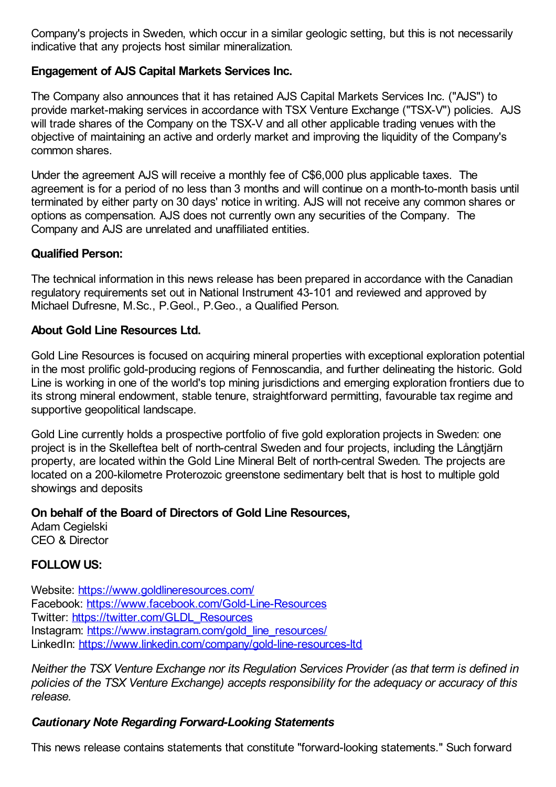Company's projects in Sweden, which occur in a similar geologic setting, but this is not necessarily indicative that any projects host similar mineralization.

# **Engagement of AJS Capital Markets Services Inc.**

The Company also announces that it has retained AJS Capital Markets Services Inc. ("AJS") to provide market-making services in accordance with TSX Venture Exchange ("TSX-V") policies. AJS will trade shares of the Company on the TSX-V and all other applicable trading venues with the objective of maintaining an active and orderly market and improving the liquidity of the Company's common shares.

Under the agreement AJS will receive a monthly fee of C\$6,000 plus applicable taxes. The agreement is for a period of no less than 3 months and will continue on a month-to-month basis until terminated by either party on 30 days' notice in writing. AJS will not receive any common shares or options as compensation. AJS does not currently own any securities of the Company. The Company and AJS are unrelated and unaffiliated entities.

# **Qualified Person:**

The technical information in this news release has been prepared in accordance with the Canadian regulatory requirements set out in National Instrument 43-101 and reviewed and approved by Michael Dufresne, M.Sc., P.Geol., P.Geo., a Qualified Person.

## **About Gold Line Resources Ltd.**

Gold Line Resources is focused on acquiring mineral properties with exceptional exploration potential in the most prolific gold-producing regions of Fennoscandia, and further delineating the historic. Gold Line is working in one of the world's top mining jurisdictions and emerging exploration frontiers due to its strong mineral endowment, stable tenure, straightforward permitting, favourable tax regime and supportive geopolitical landscape.

Gold Line currently holds a prospective portfolio of five gold exploration projects in Sweden: one project is in the Skelleftea belt of north-central Sweden and four projects, including the Långtjärn property, are located within the Gold Line Mineral Belt of north-central Sweden. The projects are located on a 200-kilometre Proterozoic greenstone sedimentary belt that is host to multiple gold showings and deposits

### **On behalf of the Board of Directors of Gold Line Resources,**

Adam Cegielski CEO & Director

# **FOLLOW US:**

Website: <https://www.goldlineresources.com/> Facebook: <https://www.facebook.com/Gold-Line-Resources> Twitter: [https://twitter.com/GLDL\\_Resources](https://twitter.com/GLDL_Resources) Instagram: https://www.instagram.com/gold line\_resources/ LinkedIn: <https://www.linkedin.com/company/gold-line-resources-ltd>

*Neither the TSX Venture Exchange nor its Regulation Services Provider (as that term is defined in policies of the TSX Venture Exchange) accepts responsibility for the adequacy or accuracy of this release.*

# *Cautionary Note Regarding Forward-Looking Statements*

This news release contains statements that constitute "forward-looking statements." Such forward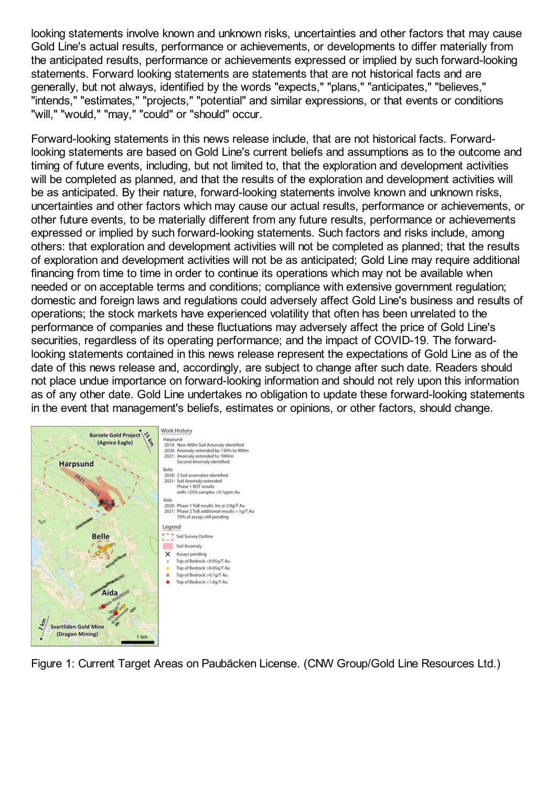looking statements involve known and unknown risks, uncertainties and other factors that may cause Gold Line's actual results, performance or achievements, or developments to differ materially from the anticipated results, performance or achievements expressed or implied by such forward-looking statements. Forward looking statements are statements that are not historical facts and are generally, but not always, identified by the words "expects," "plans," "anticipates," "believes," "intends," "estimates," "projects," "potential" and similar expressions, or that events or conditions "will," "would," "may," "could" or "should" occur.

Forward-looking statements in this news release include, that are not historical facts. Forwardlooking statements are based on Gold Line's current beliefs and assumptions as to the outcome and timing of future events, including, but not limited to, that the exploration and development activities will be completed as planned, and that the results of the exploration and development activities will be as anticipated. By their nature, forward-looking statements involve known and unknown risks, uncertainties and other factors which may cause our actual results, performance or achievements, or other future events, to be materially different from any future results, performance or achievements expressed or implied by such forward-looking statements. Such factors and risks include, among others: that exploration and development activities will not be completed as planned; that the results of exploration and development activities will not be as anticipated; Gold Line may require additional financing from time to time in order to continue its operations which may not be available when needed or on acceptable terms and conditions; compliance with extensive government regulation; domestic and foreign laws and regulations could adversely affect Gold Line's business and results of operations; the stock markets have experienced volatility that often has been unrelated to the performance of companies and these fluctuations may adversely affect the price of Gold Line's securities, regardless of its operating performance; and the impact of COVID-19. The forwardlooking statements contained in this news release represent the expectations of Gold Line as of the date of this news release and, accordingly, are subject to change after such date. Readers should not place undue importance on forward-looking information and should not rely upon this information as of any other date. Gold Line undertakes no obligation to update these forward-looking statements in the event that management's beliefs, estimates or opinions, or other factors, should change.



Figure 1: Current Target Areas on Paubäcken License. (CNW Group/Gold Line Resources Ltd.)